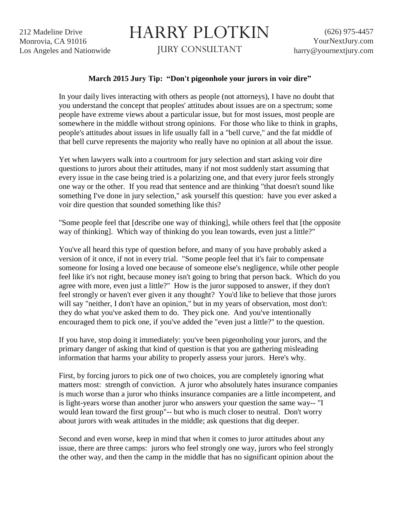212 Madeline Drive Monrovia, CA 91016 Los Angeles and Nationwide

## HARRY PLOTKIN

JURY CONSULTANT

## **March 2015 Jury Tip: "Don't pigeonhole your jurors in voir dire"**

In your daily lives interacting with others as people (not attorneys), I have no doubt that you understand the concept that peoples' attitudes about issues are on a spectrum; some people have extreme views about a particular issue, but for most issues, most people are somewhere in the middle without strong opinions. For those who like to think in graphs, people's attitudes about issues in life usually fall in a "bell curve," and the fat middle of that bell curve represents the majority who really have no opinion at all about the issue.

Yet when lawyers walk into a courtroom for jury selection and start asking voir dire questions to jurors about their attitudes, many if not most suddenly start assuming that every issue in the case being tried is a polarizing one, and that every juror feels strongly one way or the other. If you read that sentence and are thinking "that doesn't sound like something I've done in jury selection," ask yourself this question: have you ever asked a voir dire question that sounded something like this?

"Some people feel that [describe one way of thinking], while others feel that [the opposite way of thinking]. Which way of thinking do you lean towards, even just a little?"

You've all heard this type of question before, and many of you have probably asked a version of it once, if not in every trial. "Some people feel that it's fair to compensate someone for losing a loved one because of someone else's negligence, while other people feel like it's not right, because money isn't going to bring that person back. Which do you agree with more, even just a little?" How is the juror supposed to answer, if they don't feel strongly or haven't ever given it any thought? You'd like to believe that those jurors will say "neither, I don't have an opinion," but in my years of observation, most don't: they do what you've asked them to do. They pick one. And you've intentionally encouraged them to pick one, if you've added the "even just a little?" to the question.

If you have, stop doing it immediately: you've been pigeonholing your jurors, and the primary danger of asking that kind of question is that you are gathering misleading information that harms your ability to properly assess your jurors. Here's why.

First, by forcing jurors to pick one of two choices, you are completely ignoring what matters most: strength of conviction. A juror who absolutely hates insurance companies is much worse than a juror who thinks insurance companies are a little incompetent, and is light-years worse than another juror who answers your question the same way-- "I would lean toward the first group"-- but who is much closer to neutral. Don't worry about jurors with weak attitudes in the middle; ask questions that dig deeper.

Second and even worse, keep in mind that when it comes to juror attitudes about any issue, there are three camps: jurors who feel strongly one way, jurors who feel strongly the other way, and then the camp in the middle that has no significant opinion about the